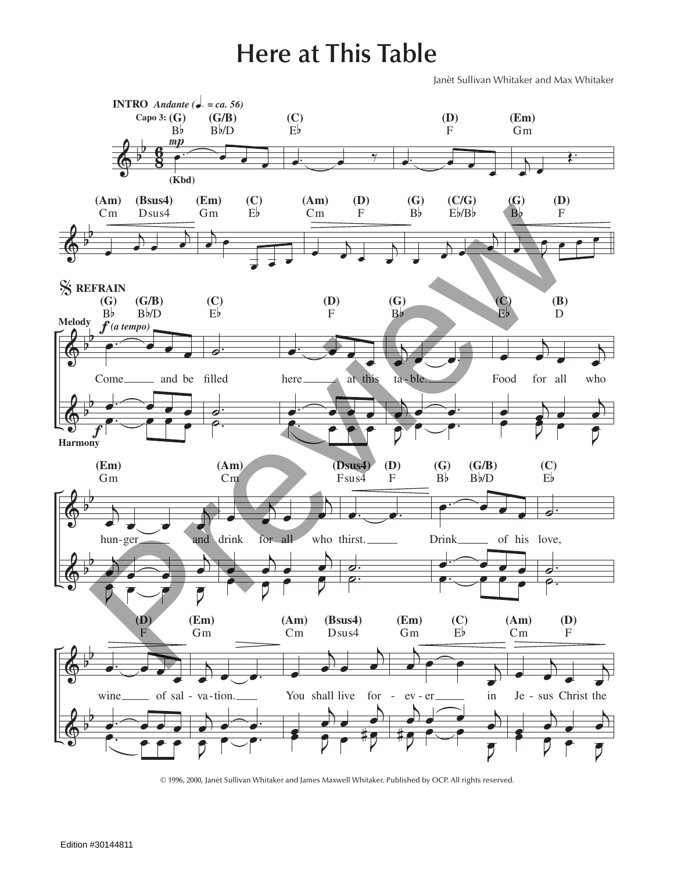## **Here at This Table**

Janèt Sullivan Whitaker and Max Whitaker



© 1996, 2000, Janèt Sullivan Whitaker and James Maxwell Whitaker. Published by OCP. All rights reserved.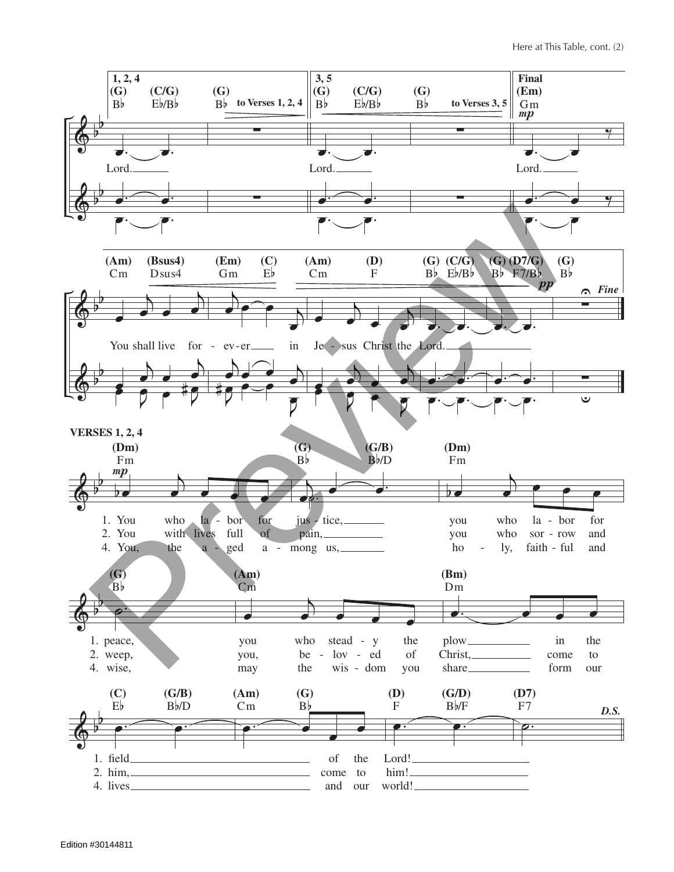